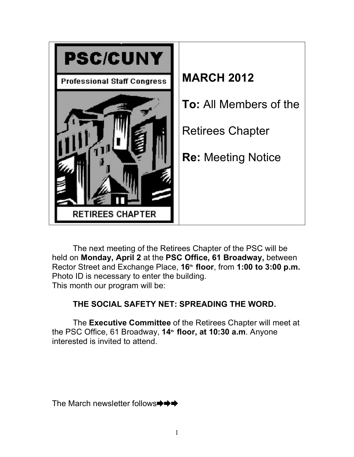

The next meeting of the Retirees Chapter of the PSC will be held on **Monday, April 2** at the **PSC Office, 61 Broadway,** between Rector Street and Exchange Place, 16<sup>th</sup> floor, from 1:00 to 3:00 p.m. Photo ID is necessary to enter the building. This month our program will be:

# **THE SOCIAL SAFETY NET: SPREADING THE WORD.**

The **Executive Committee** of the Retirees Chapter will meet at the PSC Office, 61 Broadway, 14<sup>th</sup> floor, at 10:30 a.m. Anyone interested is invited to attend.

The March newsletter follows<sup>→→→</sup>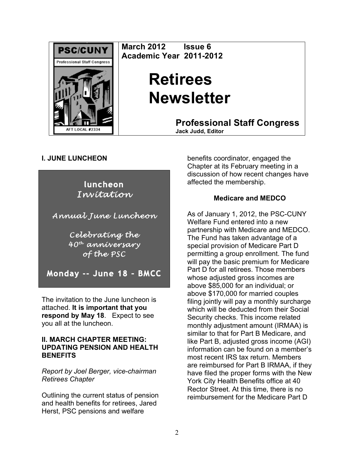

**March 2012 Issue 6 Academic Year 2011-2012**

# **Retirees Newsletter**

**Professional Staff Congress**

**Jack Judd, Editor**

# **I. JUNE LUNCHEON**



The invitation to the June luncheon is attached. **It is important that you respond by May 18**. Expect to see you all at the luncheon.

#### **II. MARCH CHAPTER MEETING: UPDATING PENSION AND HEALTH BENEFITS**

*Report by Joel Berger, vice-chairman Retirees Chapter*

Outlining the current status of pension and health benefits for retirees, Jared Herst, PSC pensions and welfare

benefits coordinator, engaged the Chapter at its February meeting in a discussion of how recent changes have affected the membership.

# **Medicare and MEDCO**

As of January 1, 2012, the PSC-CUNY Welfare Fund entered into a new partnership with Medicare and MEDCO. The Fund has taken advantage of a special provision of Medicare Part D permitting a group enrollment. The fund will pay the basic premium for Medicare Part D for all retirees. Those members whose adjusted gross incomes are above \$85,000 for an individual; or above \$170,000 for married couples filing jointly will pay a monthly surcharge which will be deducted from their Social Security checks. This income related monthly adjustment amount (IRMAA) is similar to that for Part B Medicare, and like Part B, adjusted gross income (AGI) information can be found on a member's most recent IRS tax return. Members are reimbursed for Part B IRMAA, if they have filed the proper forms with the New York City Health Benefits office at 40 Rector Street. At this time, there is no reimbursement for the Medicare Part D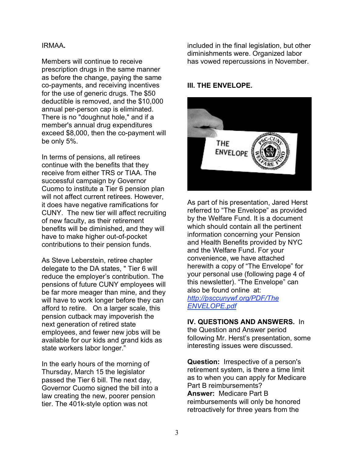#### IRMAA**.**

Members will continue to receive prescription drugs in the same manner as before the change, paying the same co-payments, and receiving incentives for the use of generic drugs. The \$50 deductible is removed, and the \$10,000 annual per-person cap is eliminated. There is no "doughnut hole," and if a member's annual drug expenditures exceed \$8,000, then the co-payment will be only 5%.

In terms of pensions, all retirees continue with the benefits that they receive from either TRS or TIAA. The successful campaign by Governor Cuomo to institute a Tier 6 pension plan will not affect current retirees. However, it does have negative ramifications for CUNY. The new tier will affect recruiting of new faculty, as their retirement benefits will be diminished, and they will have to make higher out-of-pocket contributions to their pension funds.

As Steve Leberstein, retiree chapter delegate to the DA states, " Tier 6 will reduce the employer's contribution. The pensions of future CUNY employees will be far more meager than mine, and they will have to work longer before they can afford to retire. On a larger scale, this pension cutback may impoverish the next generation of retired state employees, and fewer new jobs will be available for our kids and grand kids as state workers labor longer."

In the early hours of the morning of Thursday, March 15 the legislator passed the Tier 6 bill. The next day, Governor Cuomo signed the bill into a law creating the new, poorer pension tier. The 401k-style option was not

included in the final legislation, but other diminishments were. Organized labor has vowed repercussions in November.

#### **III. THE ENVELOPE.**



As part of his presentation, Jared Herst referred to "The Envelope" as provided by the Welfare Fund. It is a document which should contain all the pertinent information concerning your Pension and Health Benefits provided by NYC and the Welfare Fund. For your convenience, we have attached herewith a copy of "The Envelope" for your personal use (following page 4 of this newsletter). "The Envelope" can also be found online at: *http://psccunywf.org/PDF/The ENVELOPE.pdf*

#### **IV. QUESTIONS AND ANSWERS.** In

the Question and Answer period following Mr. Herst's presentation, some interesting issues were discussed.

**Question:** Irrespective of a person's retirement system, is there a time limit as to when you can apply for Medicare Part B reimbursements? **Answer:** Medicare Part B reimbursements will only be honored retroactively for three years from the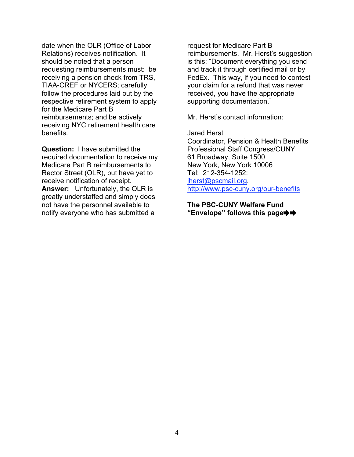date when the OLR (Office of Labor Relations) receives notification. It should be noted that a person requesting reimbursements must: be receiving a pension check from TRS, TIAA-CREF or NYCERS; carefully follow the procedures laid out by the respective retirement system to apply for the Medicare Part B reimbursements; and be actively receiving NYC retirement health care benefits.

**Question:** I have submitted the required documentation to receive my Medicare Part B reimbursements to Rector Street (OLR), but have yet to receive notification of receipt. **Answer:** Unfortunately, the OLR is greatly understaffed and simply does not have the personnel available to notify everyone who has submitted a

request for Medicare Part B reimbursements. Mr. Herst's suggestion is this: "Document everything you send and track it through certified mail or by FedEx. This way, if you need to contest your claim for a refund that was never received, you have the appropriate supporting documentation."

Mr. Herst's contact information:

Jared Herst Coordinator, Pension & Health Benefits Professional Staff Congress/CUNY 61 Broadway, Suite 1500 New York, New York 10006 Tel: 212-354-1252: jherst@pscmail.org. http://www.psc-cuny.org/our-benefits

**The PSC-CUNY Welfare Fund "Envelope" follows this page**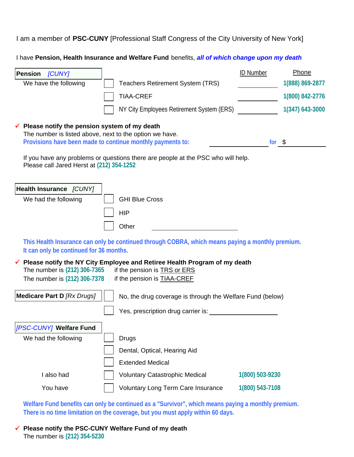I am a member of **PSC-CUNY** [Professional Staff Congress of the City University of New York]

I have **Pension, Health Insurance and Welfare Fund** benefits, *all of which change upon my death*

|                                                                                                                                                                                    |                         |                                                                           | <b>ID Number</b> | Phone           |
|------------------------------------------------------------------------------------------------------------------------------------------------------------------------------------|-------------------------|---------------------------------------------------------------------------|------------------|-----------------|
| <b>Pension</b><br><b>[CUNY]</b><br>We have the following                                                                                                                           |                         | <b>Teachers Retirement System (TRS)</b>                                   |                  | 1(888) 869-2877 |
|                                                                                                                                                                                    | <b>TIAA-CREF</b>        |                                                                           |                  | 1(800) 842-2776 |
|                                                                                                                                                                                    |                         | NY City Employees Retirement System (ERS)                                 |                  | 1(347) 643-3000 |
| $\checkmark$ Please notify the pension system of my death<br>The number is listed above, next to the option we have.<br>Provisions have been made to continue monthly payments to: |                         |                                                                           | for $\sqrt$      |                 |
| If you have any problems or questions there are people at the PSC who will help.<br>Please call Jared Herst at (212) 354-1252                                                      |                         |                                                                           |                  |                 |
| Health Insurance [CUNY]                                                                                                                                                            |                         |                                                                           |                  |                 |
| We had the following                                                                                                                                                               | <b>GHI Blue Cross</b>   |                                                                           |                  |                 |
|                                                                                                                                                                                    | <b>HIP</b>              |                                                                           |                  |                 |
|                                                                                                                                                                                    | Other                   |                                                                           |                  |                 |
| This Health Insurance can only be continued through COBRA, which means paying a monthly premium.<br>It can only be continued for 36 months.                                        |                         |                                                                           |                  |                 |
| $\checkmark$ Please notify the NY City Employee and Retiree Health Program of my death<br>The number is (212) 306-7365<br>The number is (212) 306-7378                             |                         | if the pension is <b>TRS or ERS</b><br>if the pension is <b>TIAA-CREF</b> |                  |                 |
| <b>Medicare Part D</b> [Rx Drugs]                                                                                                                                                  |                         | No, the drug coverage is through the Welfare Fund (below)                 |                  |                 |
|                                                                                                                                                                                    |                         | Yes, prescription drug carrier is:                                        |                  |                 |
| [PSC-CUNY] Welfare Fund                                                                                                                                                            |                         |                                                                           |                  |                 |
| We had the following                                                                                                                                                               | <b>Drugs</b>            |                                                                           |                  |                 |
|                                                                                                                                                                                    |                         | Dental, Optical, Hearing Aid                                              |                  |                 |
|                                                                                                                                                                                    | <b>Extended Medical</b> |                                                                           |                  |                 |
| I also had                                                                                                                                                                         |                         | <b>Voluntary Catastrophic Medical</b>                                     | 1(800) 503-9230  |                 |
| You have                                                                                                                                                                           |                         | Voluntary Long Term Care Insurance                                        | 1(800) 543-7108  |                 |

**Welfare Fund benefits can only be continued as a "Survivor", which means paying a monthly premium. There is no time limitation on the coverage, but you must apply within 60 days.**

 **Please notify the PSC-CUNY Welfare Fund of my death** The number is **(212) 354-5230**